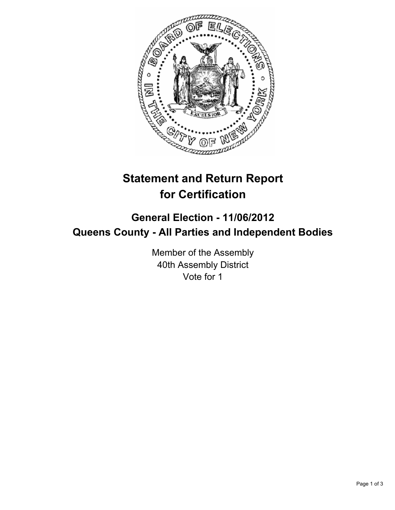

## **Statement and Return Report for Certification**

## **General Election - 11/06/2012 Queens County - All Parties and Independent Bodies**

Member of the Assembly 40th Assembly District Vote for 1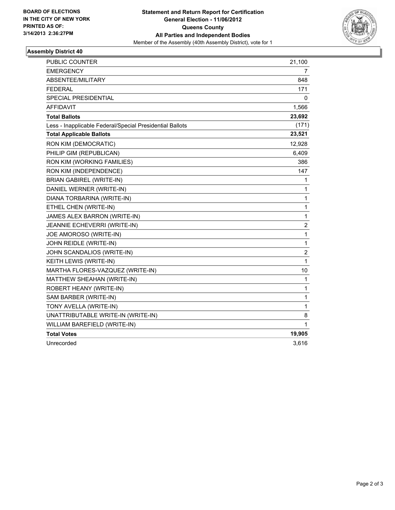

## **Assembly District 40**

| PUBLIC COUNTER                                           | 21,100           |
|----------------------------------------------------------|------------------|
| <b>EMERGENCY</b>                                         | 7                |
| ABSENTEE/MILITARY                                        | 848              |
| <b>FEDERAL</b>                                           | 171              |
| SPECIAL PRESIDENTIAL                                     | 0                |
| <b>AFFIDAVIT</b>                                         | 1,566            |
| <b>Total Ballots</b>                                     | 23,692           |
| Less - Inapplicable Federal/Special Presidential Ballots | (171)            |
| <b>Total Applicable Ballots</b>                          | 23,521           |
| RON KIM (DEMOCRATIC)                                     | 12,928           |
| PHILIP GIM (REPUBLICAN)                                  | 6,409            |
| RON KIM (WORKING FAMILIES)                               | 386              |
| RON KIM (INDEPENDENCE)                                   | 147              |
| <b>BRIAN GABIREL (WRITE-IN)</b>                          | 1                |
| DANIEL WERNER (WRITE-IN)                                 | 1                |
| DIANA TORBARINA (WRITE-IN)                               | 1                |
| ETHEL CHEN (WRITE-IN)                                    | 1                |
| JAMES ALEX BARRON (WRITE-IN)                             | 1                |
| <b>JEANNIE ECHEVERRI (WRITE-IN)</b>                      | 2                |
| JOE AMOROSO (WRITE-IN)                                   | $\mathbf{1}$     |
| JOHN REIDLE (WRITE-IN)                                   | $\mathbf 1$      |
| JOHN SCANDALIOS (WRITE-IN)                               | $\boldsymbol{2}$ |
| KEITH LEWIS (WRITE-IN)                                   | 1                |
| MARTHA FLORES-VAZQUEZ (WRITE-IN)                         | 10               |
| MATTHEW SHEAHAN (WRITE-IN)                               | 1                |
| ROBERT HEANY (WRITE-IN)                                  | 1                |
| SAM BARBER (WRITE-IN)                                    | 1                |
| TONY AVELLA (WRITE-IN)                                   | 1                |
| UNATTRIBUTABLE WRITE-IN (WRITE-IN)                       | 8                |
| WILLIAM BAREFIELD (WRITE-IN)                             | 1                |
| <b>Total Votes</b>                                       | 19,905           |
| Unrecorded                                               | 3,616            |